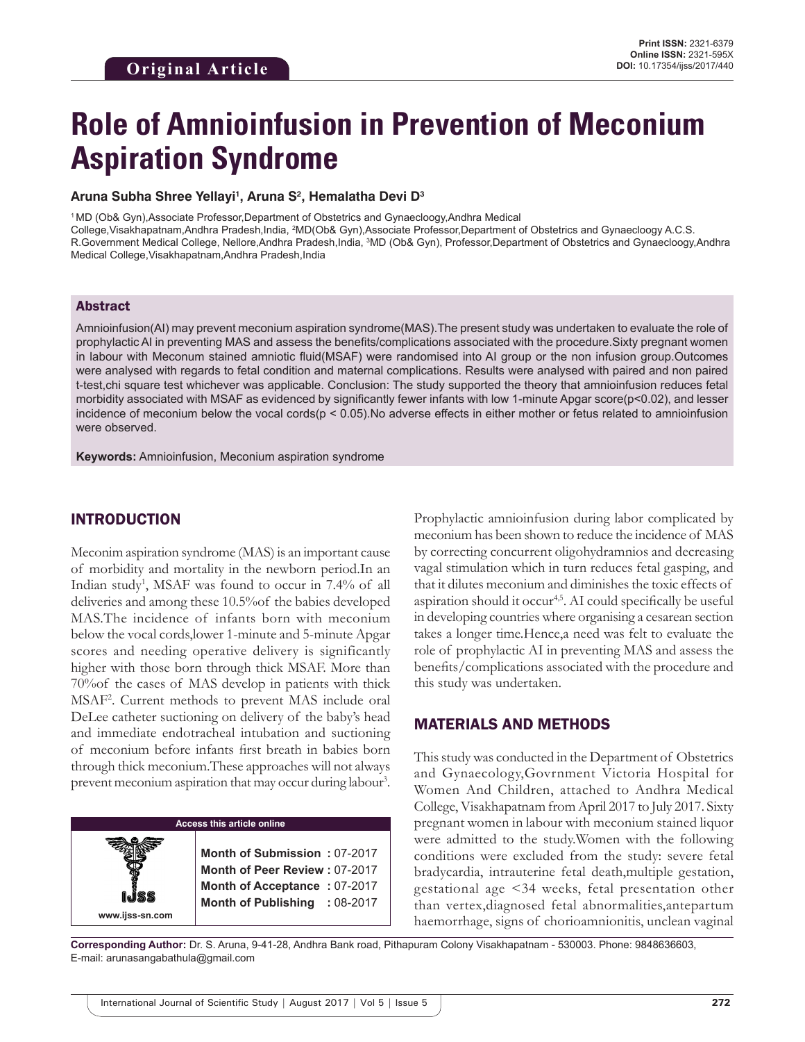# **Role of Amnioinfusion in Prevention of Meconium Aspiration Syndrome**

#### **Aruna Subha Shree Yellayi1 , Aruna S2 , Hemalatha Devi D3**

1 MD (Ob& Gyn),Associate Professor,Department of Obstetrics and Gynaecloogy,Andhra Medical College,Visakhapatnam,Andhra Pradesh,India, <sup>2</sup>MD(Ob& Gyn),Associate Professor,Department of Obstetrics and Gynaecloogy A.C.S. R.Government Medical College, Nellore,Andhra Pradesh,India, <sup>3</sup>MD (Ob& Gyn), Professor,Department of Obstetrics and Gynaecloogy,Andhra Medical College, Visakhapatnam, Andhra Pradesh, India

#### Abstract

Amnioinfusion(AI) may prevent meconium aspiration syndrome(MAS).The present study was undertaken to evaluate the role of prophylactic AI in preventing MAS and assess the benefits/complications associated with the procedure.Sixty pregnant women in labour with Meconum stained amniotic fluid(MSAF) were randomised into AI group or the non infusion group.Outcomes were analysed with regards to fetal condition and maternal complications. Results were analysed with paired and non paired t-test,chi square test whichever was applicable. Conclusion: The study supported the theory that amnioinfusion reduces fetal morbidity associated with MSAF as evidenced by significantly fewer infants with low 1-minute Apgar score(p<0.02), and lesser incidence of meconium below the vocal cords( $p < 0.05$ ). No adverse effects in either mother or fetus related to amnioinfusion were observed.

**Keywords:** Amnioinfusion, Meconium aspiration syndrome

## INTRODUCTION

**www.ijss-sn.com**

Meconim aspiration syndrome (MAS) is an important cause of morbidity and mortality in the newborn period.In an Indian study<sup>1</sup>, MSAF was found to occur in 7.4% of all deliveries and among these 10.5%of the babies developed MAS.The incidence of infants born with meconium below the vocal cords,lower 1-minute and 5-minute Apgar scores and needing operative delivery is significantly higher with those born through thick MSAF. More than 70%of the cases of MAS develop in patients with thick MSAF2 . Current methods to prevent MAS include oral DeLee catheter suctioning on delivery of the baby's head and immediate endotracheal intubation and suctioning of meconium before infants first breath in babies born through thick meconium.These approaches will not always prevent meconium aspiration that may occur during labour<sup>3</sup>.

**Access this article online**

**Month of Submission :** 07-2017 **Month of Peer Review :** 07-2017 **Month of Acceptance :** 07-2017 **Month of Publishing :** 08-2017 Prophylactic amnioinfusion during labor complicated by meconium has been shown to reduce the incidence of MAS by correcting concurrent oligohydramnios and decreasing vagal stimulation which in turn reduces fetal gasping, and that it dilutes meconium and diminishes the toxic effects of aspiration should it occur<sup>4,5</sup>. AI could specifically be useful in developing countries where organising a cesarean section takes a longer time.Hence,a need was felt to evaluate the role of prophylactic AI in preventing MAS and assess the benefits/complications associated with the procedure and this study was undertaken.

## MATERIALS AND METHODS

This study was conducted in the Department of Obstetrics and Gynaecology,Govrnment Victoria Hospital for Women And Children, attached to Andhra Medical College, Visakhapatnam from April 2017 to July 2017. Sixty pregnant women in labour with meconium stained liquor were admitted to the study.Women with the following conditions were excluded from the study: severe fetal bradycardia, intrauterine fetal death,multiple gestation, gestational age <34 weeks, fetal presentation other than vertex,diagnosed fetal abnormalities,antepartum haemorrhage, signs of chorioamnionitis, unclean vaginal

**Corresponding Author:** Dr. S. Aruna, 9-41-28, Andhra Bank road, Pithapuram Colony Visakhapatnam - 530003. Phone: 9848636603, E-mail: arunasangabathula@gmail.com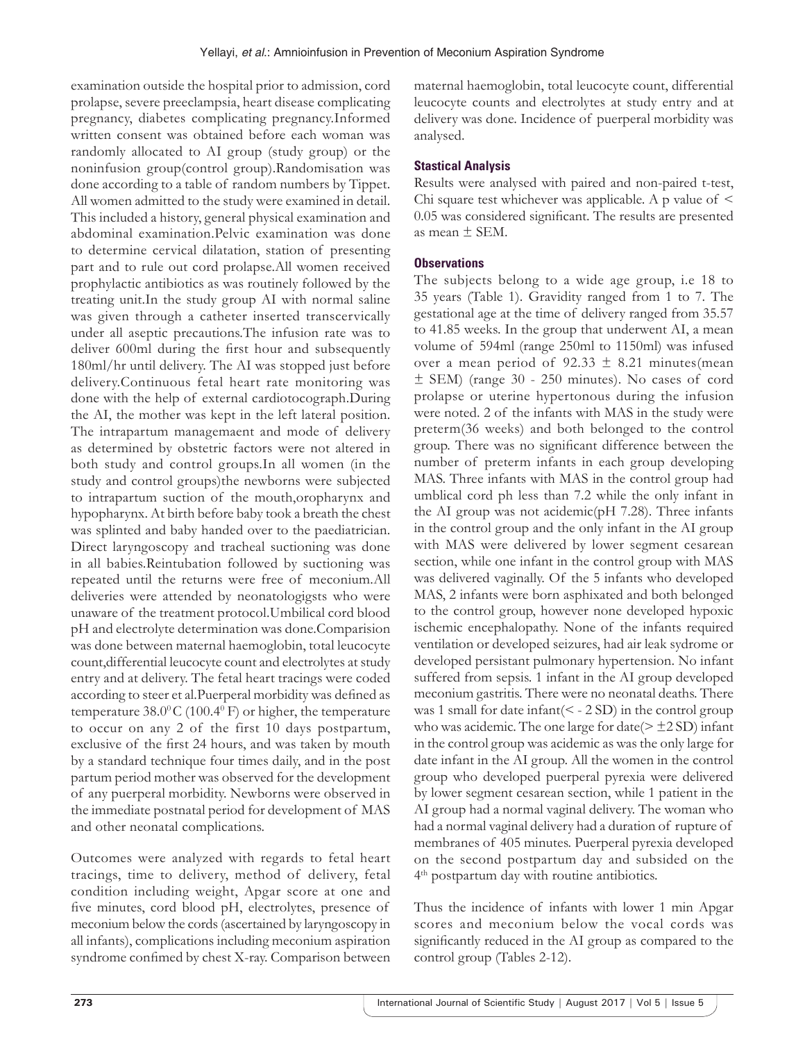examination outside the hospital prior to admission, cord prolapse, severe preeclampsia, heart disease complicating pregnancy, diabetes complicating pregnancy.Informed written consent was obtained before each woman was randomly allocated to AI group (study group) or the noninfusion group(control group).Randomisation was done according to a table of random numbers by Tippet. All women admitted to the study were examined in detail. This included a history, general physical examination and abdominal examination.Pelvic examination was done to determine cervical dilatation, station of presenting part and to rule out cord prolapse.All women received prophylactic antibiotics as was routinely followed by the treating unit.In the study group AI with normal saline was given through a catheter inserted transcervically under all aseptic precautions.The infusion rate was to deliver 600ml during the first hour and subsequently 180ml/hr until delivery. The AI was stopped just before delivery.Continuous fetal heart rate monitoring was done with the help of external cardiotocograph.During the AI, the mother was kept in the left lateral position. The intrapartum managemaent and mode of delivery as determined by obstetric factors were not altered in both study and control groups.In all women (in the study and control groups)the newborns were subjected to intrapartum suction of the mouth,oropharynx and hypopharynx. At birth before baby took a breath the chest was splinted and baby handed over to the paediatrician. Direct laryngoscopy and tracheal suctioning was done in all babies.Reintubation followed by suctioning was repeated until the returns were free of meconium.All deliveries were attended by neonatologigsts who were unaware of the treatment protocol.Umbilical cord blood pH and electrolyte determination was done.Comparision was done between maternal haemoglobin, total leucocyte count,differential leucocyte count and electrolytes at study entry and at delivery. The fetal heart tracings were coded according to steer et al.Puerperal morbidity was defined as temperature  $38.0^{\circ}$ C (100.4 $^{\circ}$  F) or higher, the temperature to occur on any 2 of the first 10 days postpartum, exclusive of the first 24 hours, and was taken by mouth by a standard technique four times daily, and in the post partum period mother was observed for the development of any puerperal morbidity. Newborns were observed in the immediate postnatal period for development of MAS and other neonatal complications.

Outcomes were analyzed with regards to fetal heart tracings, time to delivery, method of delivery, fetal condition including weight, Apgar score at one and five minutes, cord blood pH, electrolytes, presence of meconium below the cords (ascertained by laryngoscopy in all infants), complications including meconium aspiration syndrome confimed by chest X-ray. Comparison between

maternal haemoglobin, total leucocyte count, differential leucocyte counts and electrolytes at study entry and at delivery was done. Incidence of puerperal morbidity was analysed.

# **Stastical Analysis**

Results were analysed with paired and non-paired t-test, Chi square test whichever was applicable. A p value of  $\leq$ 0.05 was considered significant. The results are presented as mean ± SEM.

# **Observations**

The subjects belong to a wide age group, i.e 18 to 35 years (Table 1). Gravidity ranged from 1 to 7. The gestational age at the time of delivery ranged from 35.57 to 41.85 weeks. In the group that underwent AI, a mean volume of 594ml (range 250ml to 1150ml) was infused over a mean period of  $92.33 \pm 8.21$  minutes(mean ± SEM) (range 30 - 250 minutes). No cases of cord prolapse or uterine hypertonous during the infusion were noted. 2 of the infants with MAS in the study were preterm(36 weeks) and both belonged to the control group. There was no significant difference between the number of preterm infants in each group developing MAS. Three infants with MAS in the control group had umblical cord ph less than 7.2 while the only infant in the AI group was not acidemic(pH 7.28). Three infants in the control group and the only infant in the AI group with MAS were delivered by lower segment cesarean section, while one infant in the control group with MAS was delivered vaginally. Of the 5 infants who developed MAS, 2 infants were born asphixated and both belonged to the control group, however none developed hypoxic ischemic encephalopathy. None of the infants required ventilation or developed seizures, had air leak sydrome or developed persistant pulmonary hypertension. No infant suffered from sepsis. 1 infant in the AI group developed meconium gastritis. There were no neonatal deaths. There was 1 small for date infant( $\leq$  - 2 SD) in the control group who was acidemic. The one large for date( $\geq \pm 2$  SD) infant in the control group was acidemic as was the only large for date infant in the AI group. All the women in the control group who developed puerperal pyrexia were delivered by lower segment cesarean section, while 1 patient in the AI group had a normal vaginal delivery. The woman who had a normal vaginal delivery had a duration of rupture of membranes of 405 minutes. Puerperal pyrexia developed on the second postpartum day and subsided on the 4<sup>th</sup> postpartum day with routine antibiotics.

Thus the incidence of infants with lower 1 min Apgar scores and meconium below the vocal cords was significantly reduced in the AI group as compared to the control group (Tables 2-12).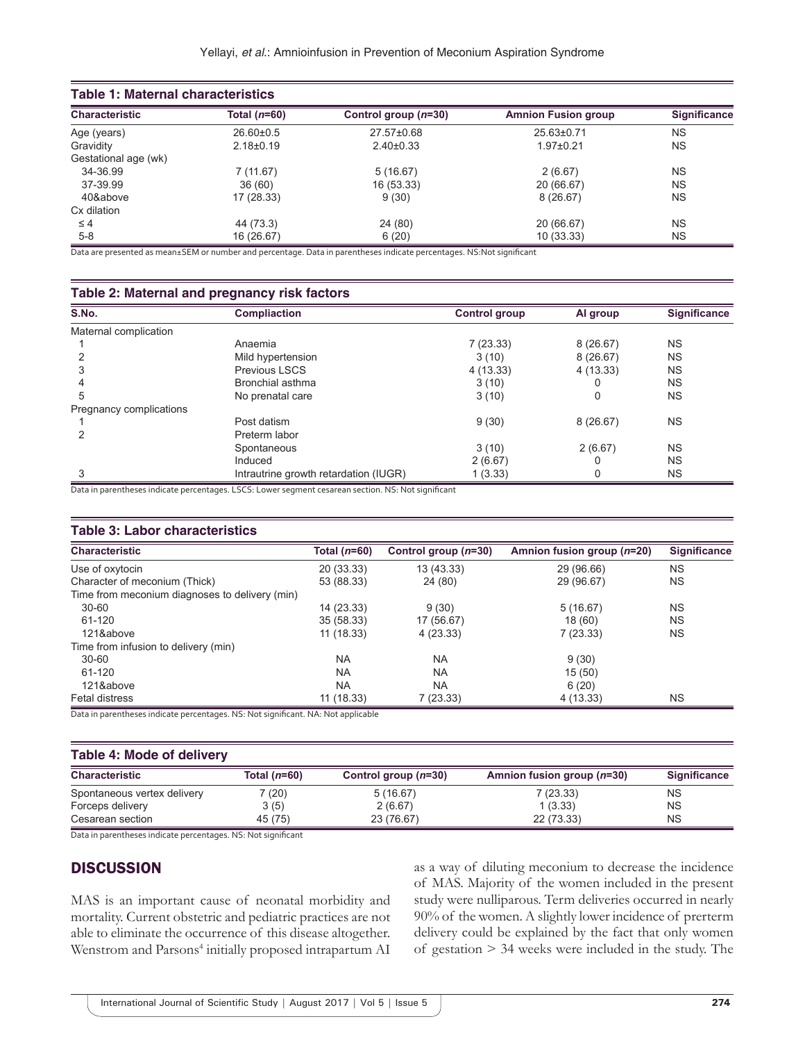| <b>Table 1: Maternal characteristics</b> |                 |                        |                            |                     |  |
|------------------------------------------|-----------------|------------------------|----------------------------|---------------------|--|
| <b>Characteristic</b>                    | Total $(n=60)$  | Control group $(n=30)$ | <b>Amnion Fusion group</b> | <b>Significance</b> |  |
| Age (years)                              | $26.60 \pm 0.5$ | 27.57±0.68             | 25.63±0.71                 | <b>NS</b>           |  |
| Gravidity                                | $2.18 \pm 0.19$ | $2.40\pm0.33$          | $1.97 \pm 0.21$            | <b>NS</b>           |  |
| Gestational age (wk)                     |                 |                        |                            |                     |  |
| 34-36.99                                 | 7(11.67)        | 5(16.67)               | 2(6.67)                    | <b>NS</b>           |  |
| 37-39.99                                 | 36(60)          | 16 (53.33)             | 20 (66.67)                 | <b>NS</b>           |  |
| 40&above                                 | 17 (28.33)      | 9(30)                  | 8(26.67)                   | <b>NS</b>           |  |
| Cx dilation                              |                 |                        |                            |                     |  |
| $\leq 4$                                 | 44 (73.3)       | 24 (80)                | 20 (66.67)                 | <b>NS</b>           |  |
| $5-8$                                    | 16 (26.67)      | 6(20)                  | 10 (33.33)                 | <b>NS</b>           |  |

Data are presented as mean±SEM or number and percentage. Data in parentheses indicate percentages. NS:Not significant

#### **Table 2: Maternal and pregnancy risk factors**

| S.No.                   | <b>Compliaction</b>                   | Control group | Al group | <b>Significance</b> |
|-------------------------|---------------------------------------|---------------|----------|---------------------|
| Maternal complication   |                                       |               |          |                     |
|                         | Anaemia                               | 7(23.33)      | 8(26.67) | <b>NS</b>           |
|                         | Mild hypertension                     | 3(10)         | 8(26.67) | <b>NS</b>           |
|                         | <b>Previous LSCS</b>                  | 4(13.33)      | 4(13.33) | <b>NS</b>           |
|                         | Bronchial asthma                      | 3(10)         |          | <b>NS</b>           |
| 5                       | No prenatal care                      | 3(10)         |          | <b>NS</b>           |
| Pregnancy complications |                                       |               |          |                     |
|                         | Post datism                           | 9(30)         | 8(26.67) | <b>NS</b>           |
|                         | Preterm labor                         |               |          |                     |
|                         | Spontaneous                           | 3(10)         | 2(6.67)  | <b>NS</b>           |
|                         | Induced                               | 2(6.67)       |          | <b>NS</b>           |
| 3                       | Intrautrine growth retardation (IUGR) | 1(3.33)       |          | <b>NS</b>           |

Data in parentheses indicate percentages. LSCS: Lower segment cesarean section. NS: Not significant

## **Table 3: Labor characteristics**

| <b>Characteristic</b>                          | Total $(n=60)$ | Control group $(n=30)$ | Amnion fusion group (n=20) | <b>Significance</b> |
|------------------------------------------------|----------------|------------------------|----------------------------|---------------------|
| Use of oxytocin                                | 20 (33.33)     | 13 (43.33)             | 29 (96.66)                 | <b>NS</b>           |
| Character of meconium (Thick)                  | 53 (88.33)     | 24 (80)                | 29 (96.67)                 | <b>NS</b>           |
| Time from meconium diagnoses to delivery (min) |                |                        |                            |                     |
| $30 - 60$                                      | 14 (23.33)     | 9(30)                  | 5(16.67)                   | <b>NS</b>           |
| 61-120                                         | 35 (58.33)     | 17 (56.67)             | 18(60)                     | <b>NS</b>           |
| 121&above                                      | 11 (18.33)     | 4 (23.33)              | 7(23.33)                   | <b>NS</b>           |
| Time from infusion to delivery (min)           |                |                        |                            |                     |
| $30 - 60$                                      | <b>NA</b>      | <b>NA</b>              | 9(30)                      |                     |
| 61-120                                         | <b>NA</b>      | <b>NA</b>              | 15(50)                     |                     |
| 121&above                                      | <b>NA</b>      | <b>NA</b>              | 6(20)                      |                     |
| Fetal distress                                 | 11 (18.33)     | 7 (23.33)              | 4(13.33)                   | <b>NS</b>           |

Data in parentheses indicate percentages. NS: Not significant. NA: Not applicable

#### **Table 4: Mode of delivery**

| <b>Characteristic</b>       | Total $(n=60)$ | Control group $(n=30)$ | Amnion fusion group $(n=30)$ | <b>Significance</b> |
|-----------------------------|----------------|------------------------|------------------------------|---------------------|
| Spontaneous vertex delivery | 7 (20)         | 5(16.67)               | 7(23.33)                     | <b>NS</b>           |
| Forceps delivery            | 3(5)           | 2(6.67)                | 1(3.33)                      | <b>NS</b>           |
| Cesarean section            | 45 (75)        | 23 (76.67)             | 22 (73.33)                   | NS                  |

Data in parentheses indicate percentages. NS: Not significant

# **DISCUSSION**

MAS is an important cause of neonatal morbidity and mortality. Current obstetric and pediatric practices are not able to eliminate the occurrence of this disease altogether. Wenstrom and Parsons<sup>4</sup> initially proposed intrapartum AI as a way of diluting meconium to decrease the incidence of MAS. Majority of the women included in the present study were nulliparous. Term deliveries occurred in nearly 90% of the women. A slightly lower incidence of prerterm delivery could be explained by the fact that only women of gestation > 34 weeks were included in the study. The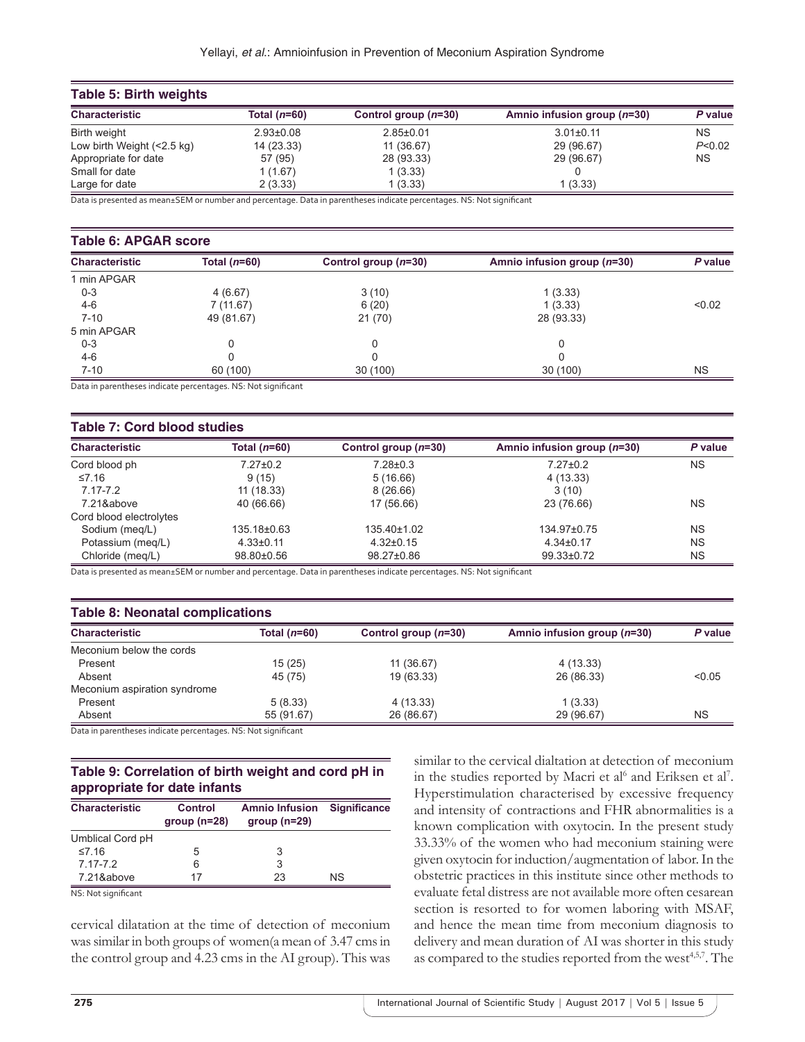| Table 5: Birth weights         |                 |                        |                               |           |  |  |
|--------------------------------|-----------------|------------------------|-------------------------------|-----------|--|--|
| <b>Characteristic</b>          | Total $(n=60)$  | Control group $(n=30)$ | Amnio infusion group $(n=30)$ | P value   |  |  |
| Birth weight                   | $2.93 \pm 0.08$ | $2.85 \pm 0.01$        | $3.01 \pm 0.11$               | <b>NS</b> |  |  |
| Low birth Weight $($ < 2.5 kg) | 14 (23.33)      | 11 (36.67)             | 29 (96.67)                    | P < 0.02  |  |  |
| Appropriate for date           | 57 (95)         | 28 (93.33)             | 29 (96.67)                    | <b>NS</b> |  |  |
| Small for date                 | 1(1.67)         | 1(3.33)                |                               |           |  |  |
| Large for date                 | 2(3.33)         | 1 (3.33)               | 1(3.33)                       |           |  |  |

Data is presented as mean±SEM or number and percentage. Data in parentheses indicate percentages. NS: Not significant

#### **Table 6: APGAR score**

| <b>Characteristic</b> | Total $(n=60)$ | Control group $(n=30)$ | Amnio infusion group (n=30) | P value   |
|-----------------------|----------------|------------------------|-----------------------------|-----------|
| 1 min APGAR           |                |                        |                             |           |
| $0 - 3$               | 4(6.67)        | 3(10)                  | 1(3.33)                     |           |
| $4 - 6$               | 7(11.67)       | 6(20)                  | 1(3.33)                     | < 0.02    |
| $7 - 10$              | 49 (81.67)     | 21(70)                 | 28 (93.33)                  |           |
| 5 min APGAR           |                |                        |                             |           |
| $0 - 3$               |                |                        |                             |           |
| $4 - 6$               |                |                        |                             |           |
| $7 - 10$              | 60 (100)       | 30(100)                | 30 (100)                    | <b>NS</b> |

Data in parentheses indicate percentages. NS: Not significant

#### **Table 7: Cord blood studies**

| <b>Characteristic</b>   | Total $(n=60)$  | Control group $(n=30)$ | Amnio infusion group $(n=30)$ | P value   |
|-------------------------|-----------------|------------------------|-------------------------------|-----------|
| Cord blood ph           | $7.27 \pm 0.2$  | 7.28±0.3               | $7.27 \pm 0.2$                | <b>NS</b> |
| ≤7.16                   | 9(15)           | 5(16.66)               | 4 (13.33)                     |           |
| $7.17 - 7.2$            | 11 (18.33)      | 8(26.66)               | 3(10)                         |           |
| 7.21&above              | 40 (66.66)      | 17 (56.66)             | 23 (76.66)                    | <b>NS</b> |
| Cord blood electrolytes |                 |                        |                               |           |
| Sodium (meg/L)          | 135.18±0.63     | $135.40\pm1.02$        | 134.97±0.75                   | <b>NS</b> |
| Potassium (meg/L)       | $4.33 \pm 0.11$ | $4.32\pm0.15$          | $4.34 \pm 0.17$               | <b>NS</b> |
| Chloride (meg/L)        | 98.80±0.56      | 98.27±0.86             | 99.33±0.72                    | <b>NS</b> |

Data is presented as mean±SEM or number and percentage. Data in parentheses indicate percentages. NS: Not significant

## **Table 8: Neonatal complications**

| <u>. abio of hoofiatal complications</u> |                            |                        |                               |         |  |  |
|------------------------------------------|----------------------------|------------------------|-------------------------------|---------|--|--|
| <b>Characteristic</b>                    | Total $(n=60)$             | Control group $(n=30)$ | Amnio infusion group $(n=30)$ | P value |  |  |
| Meconium below the cords                 |                            |                        |                               |         |  |  |
| Present                                  | 15 (25)                    | 11 (36.67)             | 4 (13.33)                     |         |  |  |
| Absent                                   | 45 (75)                    | 19 (63.33)             | 26 (86.33)                    | < 0.05  |  |  |
| Meconium aspiration syndrome             |                            |                        |                               |         |  |  |
| Present                                  | 5(8.33)                    | 4(13.33)               | 1(3.33)                       |         |  |  |
| Absent                                   | 55 (91.67)                 | 26 (86.67)             | 29 (96.67)                    | ΝS      |  |  |
|                                          | $\cdots$ $\cdots$ $\cdots$ |                        |                               |         |  |  |

Data in parentheses indicate percentages. NS: Not significant

### **Table 9: Correlation of birth weight and cord pH in appropriate for date infants**

| <b>Characteristic</b> | Control<br>$group(n=28)$ | <b>Amnio Infusion</b><br>$group(n=29)$ | <b>Significance</b> |
|-----------------------|--------------------------|----------------------------------------|---------------------|
| Umblical Cord pH      |                          |                                        |                     |
| $≤7.16$               | 5                        | 3                                      |                     |
| 7 17-7 2              | 6                        | 3                                      |                     |
| 7.21&above            | 17                       | 23                                     | ΝS                  |
| NS: Not significant   |                          |                                        |                     |

cervical dilatation at the time of detection of meconium was similar in both groups of women(a mean of 3.47 cms in the control group and 4.23 cms in the AI group). This was similar to the cervical dialtation at detection of meconium in the studies reported by Macri et al<sup>6</sup> and Eriksen et al<sup>7</sup>. Hyperstimulation characterised by excessive frequency and intensity of contractions and FHR abnormalities is a known complication with oxytocin. In the present study 33.33% of the women who had meconium staining were given oxytocin for induction/augmentation of labor. In the obstetric practices in this institute since other methods to evaluate fetal distress are not available more often cesarean section is resorted to for women laboring with MSAF, and hence the mean time from meconium diagnosis to delivery and mean duration of AI was shorter in this study as compared to the studies reported from the west<sup>4,5,7</sup>. The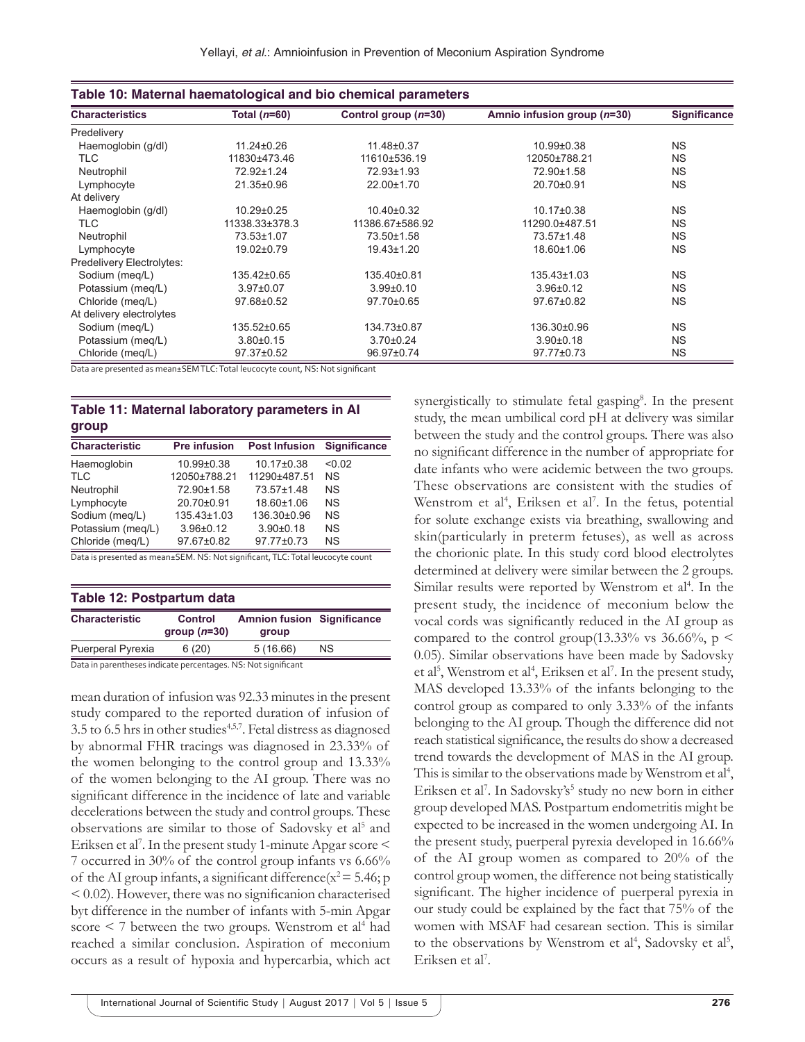| Table 10: Maternal haematological and bio chemical parameters |                  |                        |                             |              |  |
|---------------------------------------------------------------|------------------|------------------------|-----------------------------|--------------|--|
| <b>Characteristics</b>                                        | Total ( $n=60$ ) | Control group $(n=30)$ | Amnio infusion group (n=30) | Significance |  |
| Predelivery                                                   |                  |                        |                             |              |  |
| Haemoglobin (g/dl)                                            | $11.24 \pm 0.26$ | 11.48±0.37             | 10.99±0.38                  | <b>NS</b>    |  |
| TLC                                                           | 11830±473.46     | 11610±536.19           | 12050±788.21                | <b>NS</b>    |  |
| Neutrophil                                                    | 72.92±1.24       | 72.93±1.93             | 72.90±1.58                  | <b>NS</b>    |  |
| Lymphocyte                                                    | 21.35±0.96       | 22.00±1.70             | 20.70±0.91                  | <b>NS</b>    |  |
| At delivery                                                   |                  |                        |                             |              |  |
| Haemoglobin (g/dl)                                            | 10.29±0.25       | $10.40 \pm 0.32$       | 10.17±0.38                  | <b>NS</b>    |  |
| TLC                                                           | 11338.33±378.3   | 11386.67±586.92        | 11290.0±487.51              | <b>NS</b>    |  |
| Neutrophil                                                    | 73.53±1.07       | 73.50±1.58             | 73.57±1.48                  | <b>NS</b>    |  |
| Lymphocyte                                                    | 19.02±0.79       | 19.43±1.20             | 18.60±1.06                  | <b>NS</b>    |  |
| Predelivery Electrolytes:                                     |                  |                        |                             |              |  |
| Sodium (meg/L)                                                | 135.42±0.65      | 135.40±0.81            | $135.43\pm1.03$             | <b>NS</b>    |  |
| Potassium (meg/L)                                             | $3.97 \pm 0.07$  | $3.99 \pm 0.10$        | $3.96 \pm 0.12$             | <b>NS</b>    |  |
| Chloride (meg/L)                                              | 97.68±0.52       | 97.70±0.65             | 97.67±0.82                  | <b>NS</b>    |  |
| At delivery electrolytes                                      |                  |                        |                             |              |  |
| Sodium (meg/L)                                                | 135.52±0.65      | 134.73±0.87            | 136.30±0.96                 | <b>NS</b>    |  |
| Potassium (meg/L)                                             | $3.80 \pm 0.15$  | $3.70 \pm 0.24$        | $3.90+0.18$                 | <b>NS</b>    |  |
| Chloride (meg/L)                                              | 97.37±0.52       | 96.97±0.74             | 97.77±0.73                  | <b>NS</b>    |  |

Data are presented as mean±SEM TLC: Total leucocyte count, NS: Not significant

## **Table 11: Maternal laboratory parameters in AI group**

| <b>Pre infusion</b> | <b>Post Infusion</b> | <b>Significance</b> |
|---------------------|----------------------|---------------------|
| 10.99±0.38          | 10.17±0.38           | < 0.02              |
| 12050±788.21        | 11290±487.51         | <b>NS</b>           |
| 72.90±1.58          | 73.57±1.48           | <b>NS</b>           |
| 20.70±0.91          | 18.60±1.06           | <b>NS</b>           |
| 135.43±1.03         | 136.30±0.96          | <b>NS</b>           |
| $3.96 \pm 0.12$     | $3.90 + 0.18$        | <b>NS</b>           |
| 97.67±0.82          | 97.77±0.73           | <b>NS</b>           |
|                     |                      |                     |

Data is presented as mean±SEM. NS: Not significant, TLC: Total leucocyte count

| Table 12: Postpartum data |                                 |                                            |           |  |  |
|---------------------------|---------------------------------|--------------------------------------------|-----------|--|--|
| <b>Characteristic</b>     | <b>Control</b><br>$group(n=30)$ | <b>Amnion fusion Significance</b><br>group |           |  |  |
| Puerperal Pyrexia         | 6(20)                           | 5(16.66)                                   | <b>NS</b> |  |  |

Data in parentheses indicate percentages. NS: Not significant

mean duration of infusion was 92.33 minutes in the present study compared to the reported duration of infusion of  $3.5$  to  $6.5$  hrs in other studies<sup>4,5,7</sup>. Fetal distress as diagnosed by abnormal FHR tracings was diagnosed in 23.33% of the women belonging to the control group and 13.33% of the women belonging to the AI group. There was no significant difference in the incidence of late and variable decelerations between the study and control groups. These observations are similar to those of Sadovsky et al<sup>5</sup> and Eriksen et al<sup>7</sup>. In the present study 1-minute Apgar score < 7 occurred in 30% of the control group infants vs 6.66% of the AI group infants, a significant difference( $x^2 = 5.46$ ; p < 0.02). However, there was no significanion characterised byt difference in the number of infants with 5-min Apgar score  $\leq$  7 between the two groups. Wenstrom et al<sup>4</sup> had reached a similar conclusion. Aspiration of meconium occurs as a result of hypoxia and hypercarbia, which act

synergistically to stimulate fetal gasping<sup>8</sup>. In the present study, the mean umbilical cord pH at delivery was similar between the study and the control groups. There was also no significant difference in the number of appropriate for date infants who were acidemic between the two groups. These observations are consistent with the studies of Wenstrom et al<sup>4</sup>, Eriksen et al<sup>7</sup>. In the fetus, potential for solute exchange exists via breathing, swallowing and skin(particularly in preterm fetuses), as well as across the chorionic plate. In this study cord blood electrolytes determined at delivery were similar between the 2 groups. Similar results were reported by Wenstrom et al<sup>4</sup>. In the present study, the incidence of meconium below the vocal cords was significantly reduced in the AI group as compared to the control group(13.33% vs 36.66%,  $p \le$ 0.05). Similar observations have been made by Sadovsky et al<sup>5</sup>, Wenstrom et al<sup>4</sup>, Eriksen et al<sup>7</sup>. In the present study, MAS developed 13.33% of the infants belonging to the control group as compared to only 3.33% of the infants belonging to the AI group. Though the difference did not reach statistical significance, the results do show a decreased trend towards the development of MAS in the AI group. This is similar to the observations made by Wenstrom et al<sup>4</sup>, Eriksen et al<sup>7</sup>. In Sadovsky's<sup>5</sup> study no new born in either group developed MAS. Postpartum endometritis might be expected to be increased in the women undergoing AI. In the present study, puerperal pyrexia developed in 16.66% of the AI group women as compared to 20% of the control group women, the difference not being statistically significant. The higher incidence of puerperal pyrexia in our study could be explained by the fact that 75% of the women with MSAF had cesarean section. This is similar to the observations by Wenstrom et al<sup>4</sup>, Sadovsky et al<sup>5</sup>, Eriksen et al<sup>7</sup>.